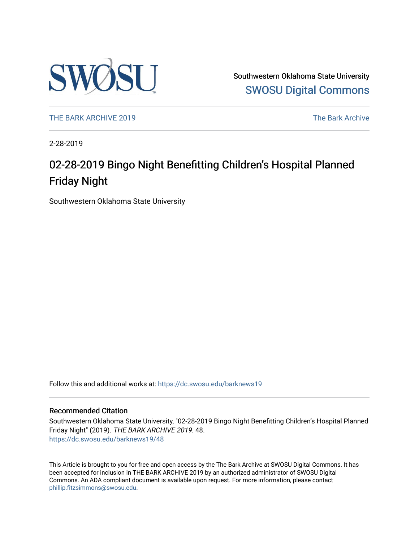

Southwestern Oklahoma State University [SWOSU Digital Commons](https://dc.swosu.edu/) 

[THE BARK ARCHIVE 2019](https://dc.swosu.edu/barknews19) The Bark Archive

2-28-2019

### 02-28-2019 Bingo Night Benefitting Children's Hospital Planned Friday Night

Southwestern Oklahoma State University

Follow this and additional works at: [https://dc.swosu.edu/barknews19](https://dc.swosu.edu/barknews19?utm_source=dc.swosu.edu%2Fbarknews19%2F48&utm_medium=PDF&utm_campaign=PDFCoverPages)

#### Recommended Citation

Southwestern Oklahoma State University, "02-28-2019 Bingo Night Benefitting Children's Hospital Planned Friday Night" (2019). THE BARK ARCHIVE 2019. 48. [https://dc.swosu.edu/barknews19/48](https://dc.swosu.edu/barknews19/48?utm_source=dc.swosu.edu%2Fbarknews19%2F48&utm_medium=PDF&utm_campaign=PDFCoverPages) 

This Article is brought to you for free and open access by the The Bark Archive at SWOSU Digital Commons. It has been accepted for inclusion in THE BARK ARCHIVE 2019 by an authorized administrator of SWOSU Digital Commons. An ADA compliant document is available upon request. For more information, please contact [phillip.fitzsimmons@swosu.edu](mailto:phillip.fitzsimmons@swosu.edu).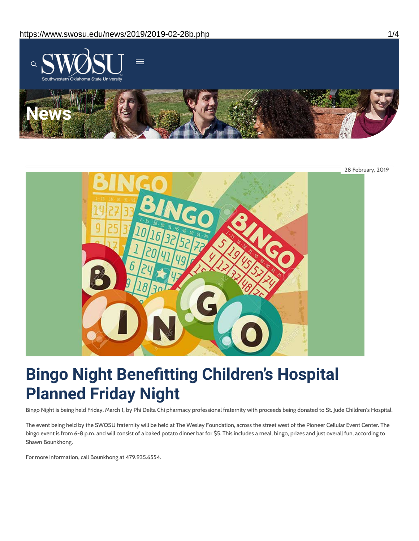

28 February, 2019

# **Bingo Night Benefitting Children's Hospital Planned Friday Night**

Bingo Night is being held Friday, March 1, by Phi Delta Chi pharmacy professional fraternity with proceeds being donated to St. Jude Children's Hospital.

The event being held by the SWOSU fraternity will be held at The Wesley Foundation, across the street west of the Pioneer Cellular Event Center. The bingo event is from 6-8 p.m. and will consist of a baked potato dinner bar for \$5. This includes a meal, bingo, prizes and just overall fun, according to Shawn Bounkhong.

For more information, call Bounkhong at 479.935.6554.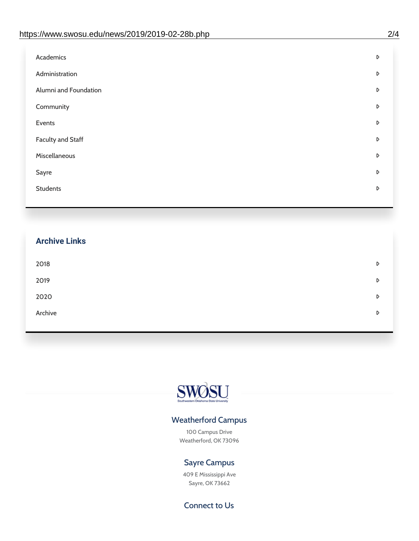| Administration<br>D<br>Alumni and Foundation<br>D<br>Community<br>D<br>Events<br>D | Academics | D |
|------------------------------------------------------------------------------------|-----------|---|
|                                                                                    |           |   |
|                                                                                    |           |   |
|                                                                                    |           |   |
|                                                                                    |           |   |
| <b>Faculty and Staff</b><br>D                                                      |           |   |
| Miscellaneous<br>D                                                                 |           |   |
| Sayre<br>D                                                                         |           |   |
| <b>Students</b><br>D                                                               |           |   |

## **Archive Links**  $2018$  $2019$ [2020](https://www.swosu.edu/news/2020/index.php)  $\bullet$ [Archive](https://dc.swosu.edu/bark/) **Archive Archive Archive Archive Archive** Archive Archive Archive Archive Archive Archive Archive Archive



### Weatherford Campus

100 Campus Drive Weatherford, OK 73096

### Sayre Campus

409 E Mississippi Ave Sayre, OK 73662

Connect to Us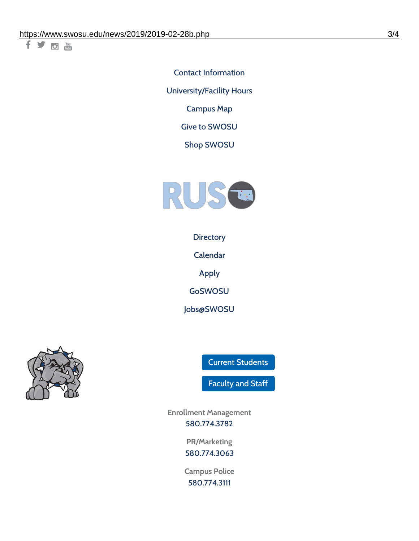千岁回调

Contact [Information](https://www.swosu.edu/about/contact.php) [University/Facility](https://www.swosu.edu/about/operating-hours.php) Hours [Campus](https://map.concept3d.com/?id=768#!ct/10964,10214,10213,10212,10205,10204,10203,10202,10136,10129,10128,0,31226,10130,10201,10641,0) Map

Give to [SWOSU](https://standingfirmly.com/donate)

Shop [SWOSU](https://shopswosu.merchorders.com/)



**[Directory](https://www.swosu.edu/directory/index.php)** 

[Calendar](https://eventpublisher.dudesolutions.com/swosu/)

[Apply](https://www.swosu.edu/admissions/apply-to-swosu.php)

[GoSWOSU](https://qlsso.quicklaunchsso.com/home/1267)

[Jobs@SWOSU](https://swosu.csod.com/ux/ats/careersite/1/home?c=swosu)



Current [Students](https://bulldog.swosu.edu/index.php)

[Faculty](https://bulldog.swosu.edu/faculty-staff/index.php) and Staff

**Enrollment Management** [580.774.3782](tel:5807743782)

> **PR/Marketing** [580.774.3063](tel:5807743063)

**Campus Police** [580.774.3111](tel:5807743111)